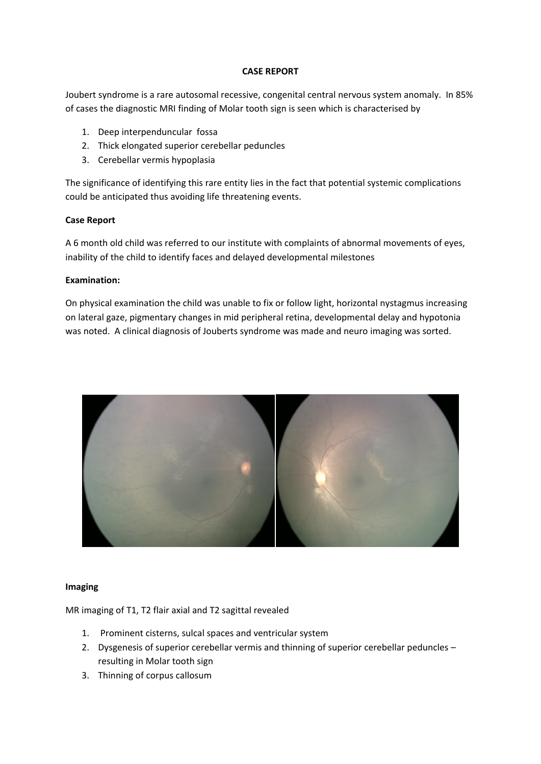## **CASE REPORT**

Joubert syndrome is a rare autosomal recessive, congenital central nervous system anomaly. In 85% of cases the diagnostic MRI finding of Molar tooth sign is seen which is characterised by

- 1. Deep interpenduncular fossa
- 2. Thick elongated superior cerebellar peduncles
- 3. Cerebellar vermis hypoplasia

The significance of identifying this rare entity lies in the fact that potential systemic complications could be anticipated thus avoiding life threatening events.

## **Case Report**

A 6 month old child was referred to our institute with complaints of abnormal movements of eyes, inability of the child to identify faces and delayed developmental milestones

## **Examination:**

On physical examination the child was unable to fix or follow light, horizontal nystagmus increasing on lateral gaze, pigmentary changes in mid peripheral retina, developmental delay and hypotonia was noted. A clinical diagnosis of Jouberts syndrome was made and neuro imaging was sorted.



#### **Imaging**

MR imaging of T1, T2 flair axial and T2 sagittal revealed

- 1. Prominent cisterns, sulcal spaces and ventricular system
- 2. Dysgenesis of superior cerebellar vermis and thinning of superior cerebellar peduncles resulting in Molar tooth sign
- 3. Thinning of corpus callosum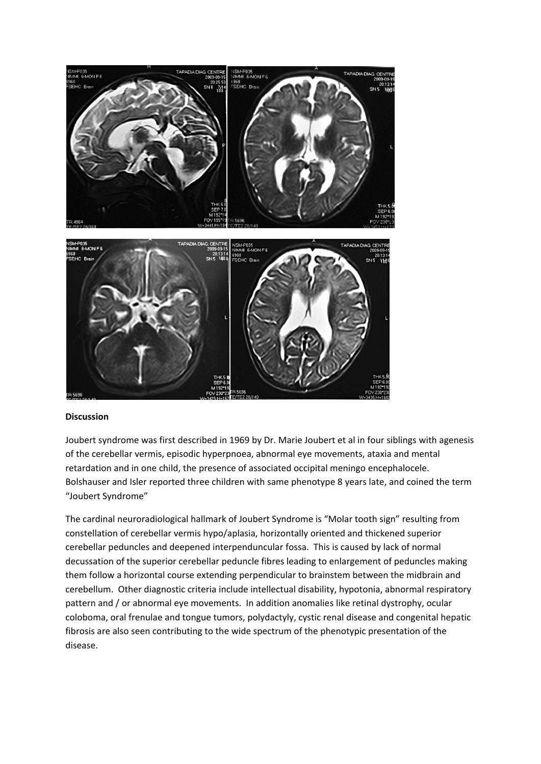

## **Discussion**

Joubert syndrome was first described in 1969 by Dr. Marie Joubert et al in four siblings with agenesis of the cerebellar vermis, episodic hyperpnoea, abnormal eye movements, ataxia and mental retardation and in one child, the presence of associated occipital meningo encephalocele. Bolshauser and Isler reported three children with same phenotype 8 years late, and coined the term "Joubert Syndrome"

The cardinal neuroradiological hallmark of Joubert Syndrome is "Molar tooth sign" resulting from constellation of cerebellar vermis hypo/aplasia, horizontally oriented and thickened superior cerebellar peduncles and deepened interpenduncular fossa. This is caused by lack of normal decussation of the superior cerebellar peduncle fibres leading to enlargement of peduncles making them follow a horizontal course extending perpendicular to brainstem between the midbrain and cerebellum. Other diagnostic criteria include intellectual disability, hypotonia, abnormal respiratory pattern and / or abnormal eye movements. In addition anomalies like retinal dystrophy, ocular coloboma, oral frenulae and tongue tumors, polydactyly, cystic renal disease and congenital hepatic fibrosis are also seen contributing to the wide spectrum of the phenotypic presentation of the disease.